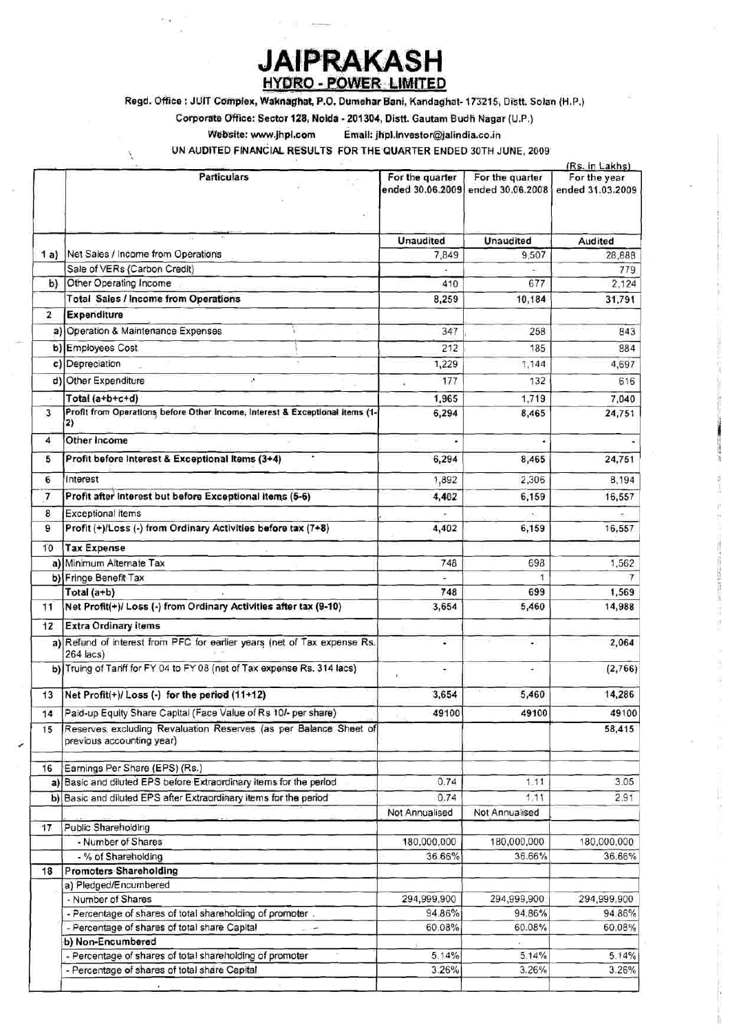## **JAIPRAKASH HYDRO - POWER LIMITED**

Regd. Office : JUIT Complex, Waknaghat, P.O. Dumehar Bani, Kandaghat- 173215, Distt. Solan (H.P.)

Corporate Office: Sector 128, Nolda - 201304, Distt. Gautam Budh Nagar (U.P.)

Website: www.jhpl.com

 $\mathbf{\hat{x}}$ 

Email: jhpl.investor@jalindia.co.in

UN AUDITED FINANCIAL RESULTS FOR THE QUARTER ENDED 30TH JUNE, 2009

|                |                                                                                               | (Rs. in Lakhs)                      |                                     |                                  |
|----------------|-----------------------------------------------------------------------------------------------|-------------------------------------|-------------------------------------|----------------------------------|
|                | <b>Particulars</b>                                                                            | For the quarter<br>ended 30.06.2009 | For the quarter<br>ended 30.06.2008 | For the year<br>ended 31.03.2009 |
|                |                                                                                               | <b>Unaudited</b>                    | <b>Unaudited</b>                    | Audited                          |
| 1 a)           | Net Sales / Income from Operations                                                            | 7,849                               | 9.507                               | 28,888                           |
|                | Sale of VERs (Carbon Credit)                                                                  |                                     |                                     | 779                              |
| b)             | Other Operating Income                                                                        | 410                                 | 677                                 | 2,124                            |
|                | Total Sales / Income from Operations                                                          | 8,259                               | 10,184                              | 31,791                           |
| 2              | <b>Expenditure</b>                                                                            |                                     |                                     |                                  |
| a)             | Operation & Maintenance Expenses                                                              | 347                                 | 258                                 | 843                              |
|                |                                                                                               | 212                                 | 185                                 |                                  |
|                | b) Employees Cost                                                                             |                                     |                                     | 884                              |
|                | c) Depreciation                                                                               | 1,229                               | 1,144                               | 4,697                            |
|                | d) Other Expenditure<br>×                                                                     | 177<br>Ġ.                           | 132                                 | 616                              |
|                | Total (a+b+c+d)                                                                               | 1,965                               | 1,719                               | 7,040                            |
| 3              | Profit from Operations before Other Income, Interest & Exceptional Items (1-<br>2)            | 6,294                               | 8,465                               | 24,751                           |
| 4              | Other Income                                                                                  |                                     | ٠                                   |                                  |
| 5              | Profit before Interest & Exceptional Items (3+4)                                              | 6,294                               | 8,465                               | 24,751                           |
| 6              | <b>Interest</b>                                                                               | 1,892                               | 2,306                               | 8,194                            |
| $\overline{7}$ | Profit after Interest but before Exceptional items (5-6)                                      | 4,402                               | 6,159                               | 16,557                           |
|                |                                                                                               |                                     |                                     |                                  |
| 8              | <b>Exceptional items</b>                                                                      |                                     | ÷                                   |                                  |
| 9              | Profit (+)/Loss (-) from Ordinary Activities before tax (7+8)                                 | 4,402                               | 6,159                               | 16,557                           |
| 10             | <b>Tax Expense</b>                                                                            |                                     |                                     |                                  |
|                | a) Minimum Alternate Tax                                                                      | 748                                 | 698                                 | 1,562                            |
|                | b) Fringe Benefit Tax                                                                         |                                     |                                     |                                  |
|                | Total (a+b)                                                                                   | 748                                 | 699                                 | 1,569                            |
| 11             | Net Profit(+)/ Loss (-) from Ordinary Activities after tax (9-10)                             | 3,654                               | 5,460                               | 14,988                           |
| 12             | <b>Extra Ordinary items</b>                                                                   |                                     |                                     |                                  |
|                | a) Refund of interest from PFC for earlier years (net of Tax expense Rs.<br>$264$ lacs)       | ÷                                   | ¥ì,                                 | 2,064                            |
|                | b) Truing of Tariff for FY 04 to FY 08 (net of Tax expense Rs. 314 lacs)                      | Ž.                                  | đΙ,                                 | (2,766)                          |
| 13             | Net Profit(+)/ Loss (-) for the period (11+12)                                                | 3,654                               | 5,460                               | 14,286                           |
| 14             | Paid-up Equity Share Capital (Face Value of Rs 10/- per share)                                | 49100                               | 49100                               | 49100                            |
| 15             | Reserves excluding Revaluation Reserves (as per Balance Sheet of<br>previous accounting year) |                                     |                                     | 58,415                           |
| 16             | Earnings Per Share (EPS) (Rs.)                                                                |                                     |                                     |                                  |
|                | a) Basic and diluted EPS before Extraordinary items for the period                            | 0.74                                | 1.11                                | 3.05                             |
|                | b) Basic and diluted EPS after Extraordinary items for the period                             | 0.74                                | 1.11                                | 2.91                             |
|                |                                                                                               | Not Annualised                      | Not Annualised                      |                                  |
| 17             | Public Shareholding                                                                           |                                     |                                     |                                  |
|                | - Number of Shares                                                                            | 180,000,000                         | 180,000,000                         | 180,000,000                      |
|                | - % of Shareholding                                                                           | 36.66%                              | 36.66%                              | 36.66%                           |
| 18             | <b>Promoters Shareholding</b>                                                                 |                                     |                                     |                                  |
|                | a) Pledged/Encumbered                                                                         |                                     |                                     |                                  |
|                | - Number of Shares                                                                            | 294,999,900                         | 294,999,900                         | 294,999,900                      |
|                | - Percentage of shares of total shareholding of promoter.                                     | 94.86%                              | 94.86%                              | 94.86%                           |
|                | - Percentage of shares of total share Capital<br>a në                                         | 60.08%                              | 60.08%                              | 60.08%                           |
|                | b) Non-Encumbered                                                                             |                                     |                                     |                                  |
|                | - Percentage of shares of total shareholding of promoter                                      | 5.14%                               | 5.14%                               | 5.14%                            |
|                | - Percentage of shares of total share Capital                                                 | 3.26%                               | 3.26%                               | 3.26%                            |

1002年10月